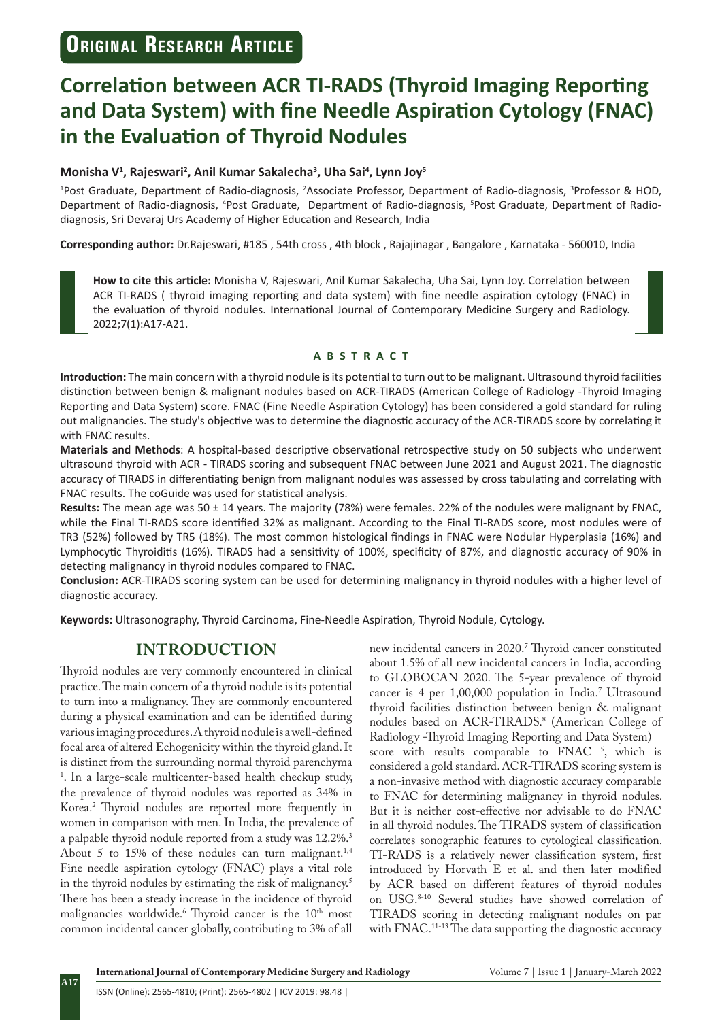# **Correlation between ACR TI-RADS (Thyroid Imaging Reporting and Data System) with fine Needle Aspiration Cytology (FNAC) in the Evaluation of Thyroid Nodules**

#### **Monisha V<sup>1</sup> , Rajeswari<sup>2</sup> , Anil Kumar Sakalecha<sup>3</sup> , Uha Sai<sup>4</sup> , Lynn Joy<sup>5</sup>**

<sup>1</sup>Post Graduate, Department of Radio-diagnosis, <sup>2</sup>Associate Professor, Department of Radio-diagnosis, <sup>3</sup>Professor & HOD, Department of Radio-diagnosis, <sup>4</sup>Post Graduate, Department of Radio-diagnosis, <sup>5</sup>Post Graduate, Department of Radiodiagnosis, Sri Devaraj Urs Academy of Higher Education and Research, India

**Corresponding author:** Dr.Rajeswari, #185 , 54th cross , 4th block , Rajajinagar , Bangalore , Karnataka - 560010, India

**How to cite this article:** Monisha V, Rajeswari, Anil Kumar Sakalecha, Uha Sai, Lynn Joy. Correlation between ACR TI-RADS ( thyroid imaging reporting and data system) with fine needle aspiration cytology (FNAC) in the evaluation of thyroid nodules. International Journal of Contemporary Medicine Surgery and Radiology. 2022;7(1):A17-A21.

#### **ABSTRACT**

**Introduction:** The main concern with a thyroid nodule is its potential to turn out to be malignant. Ultrasound thyroid facilities distinction between benign & malignant nodules based on ACR-TIRADS (American College of Radiology -Thyroid Imaging Reporting and Data System) score. FNAC (Fine Needle Aspiration Cytology) has been considered a gold standard for ruling out malignancies. The study's objective was to determine the diagnostic accuracy of the ACR-TIRADS score by correlating it with FNAC results.

**Materials and Methods**: A hospital-based descriptive observational retrospective study on 50 subjects who underwent ultrasound thyroid with ACR - TIRADS scoring and subsequent FNAC between June 2021 and August 2021. The diagnostic accuracy of TIRADS in differentiating benign from malignant nodules was assessed by cross tabulating and correlating with FNAC results. The coGuide was used for statistical analysis.

**Results:** The mean age was 50 ± 14 years. The majority (78%) were females. 22% of the nodules were malignant by FNAC, while the Final TI-RADS score identified 32% as malignant. According to the Final TI-RADS score, most nodules were of TR3 (52%) followed by TR5 (18%). The most common histological findings in FNAC were Nodular Hyperplasia (16%) and Lymphocytic Thyroiditis (16%). TIRADS had a sensitivity of 100%, specificity of 87%, and diagnostic accuracy of 90% in detecting malignancy in thyroid nodules compared to FNAC.

**Conclusion:** ACR-TIRADS scoring system can be used for determining malignancy in thyroid nodules with a higher level of diagnostic accuracy.

**Keywords:** Ultrasonography, Thyroid Carcinoma, Fine-Needle Aspiration, Thyroid Nodule, Cytology.

## **INTRODUCTION**

Thyroid nodules are very commonly encountered in clinical practice. The main concern of a thyroid nodule is its potential to turn into a malignancy. They are commonly encountered during a physical examination and can be identified during various imaging procedures. A thyroid nodule is a well-defined focal area of altered Echogenicity within the thyroid gland. It is distinct from the surrounding normal thyroid parenchyma 1 . In a large-scale multicenter-based health checkup study, the prevalence of thyroid nodules was reported as 34% in Korea.2 Thyroid nodules are reported more frequently in women in comparison with men. In India, the prevalence of a palpable thyroid nodule reported from a study was 12.2%.3 About 5 to 15% of these nodules can turn malignant.<sup>1,4</sup> Fine needle aspiration cytology (FNAC) plays a vital role in the thyroid nodules by estimating the risk of malignancy.<sup>5</sup> There has been a steady increase in the incidence of thyroid malignancies worldwide.<sup>6</sup> Thyroid cancer is the 10<sup>th</sup> most common incidental cancer globally, contributing to 3% of all

new incidental cancers in 2020.<sup>7</sup> Thyroid cancer constituted about 1.5% of all new incidental cancers in India, according to GLOBOCAN 2020. The 5-year prevalence of thyroid cancer is 4 per 1,00,000 population in India.7 Ultrasound thyroid facilities distinction between benign & malignant nodules based on ACR-TIRADS.<sup>8</sup> (American College of Radiology -Thyroid Imaging Reporting and Data System) score with results comparable to  $\text{FNAC}$ <sup>5</sup>, which is considered a gold standard. ACR-TIRADS scoring system is a non-invasive method with diagnostic accuracy comparable to FNAC for determining malignancy in thyroid nodules. But it is neither cost-effective nor advisable to do FNAC in all thyroid nodules. The TIRADS system of classification correlates sonographic features to cytological classification. TI-RADS is a relatively newer classification system, first introduced by Horvath E et al. and then later modified by ACR based on different features of thyroid nodules on USG.8-10 Several studies have showed correlation of TIRADS scoring in detecting malignant nodules on par with FNAC.<sup>11-13</sup> The data supporting the diagnostic accuracy

**International Journal of Contemporary Medicine Surgery and Radiology** Volume 7 | Issue 1 | January-March 2022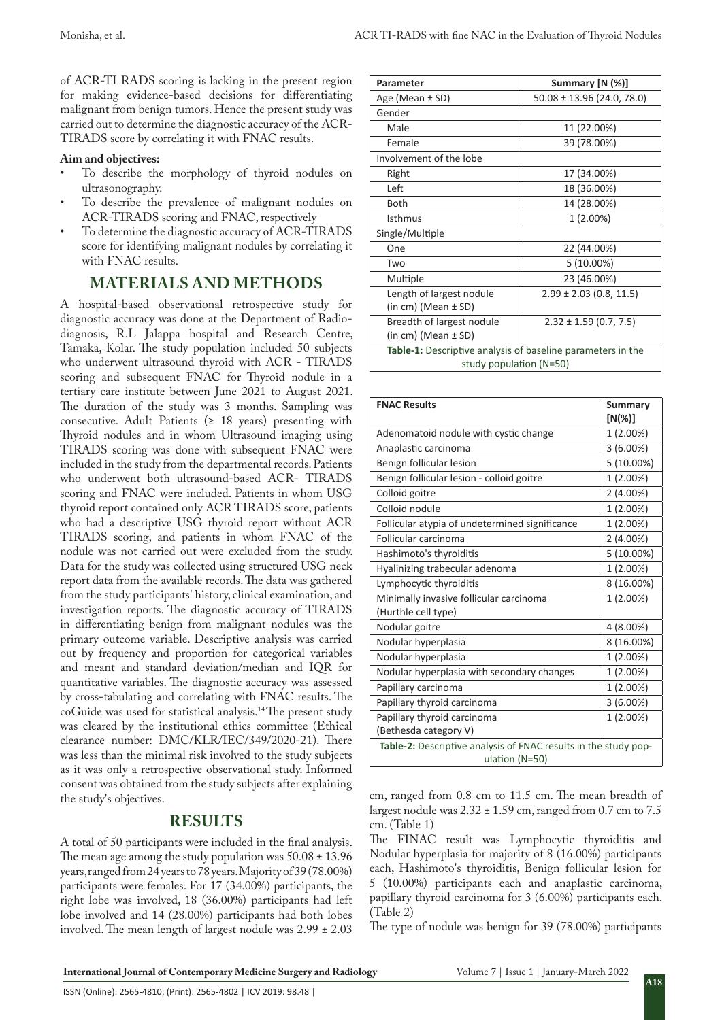of ACR-TI RADS scoring is lacking in the present region for making evidence-based decisions for differentiating malignant from benign tumors. Hence the present study was carried out to determine the diagnostic accuracy of the ACR-TIRADS score by correlating it with FNAC results.

#### **Aim and objectives:**

- To describe the morphology of thyroid nodules on ultrasonography.
- To describe the prevalence of malignant nodules on ACR-TIRADS scoring and FNAC, respectively
- To determine the diagnostic accuracy of ACR-TIRADS score for identifying malignant nodules by correlating it with FNAC results.

## **MATERIALS AND METHODS**

A hospital-based observational retrospective study for diagnostic accuracy was done at the Department of Radiodiagnosis, R.L Jalappa hospital and Research Centre, Tamaka, Kolar. The study population included 50 subjects who underwent ultrasound thyroid with ACR - TIRADS scoring and subsequent FNAC for Thyroid nodule in a tertiary care institute between June 2021 to August 2021. The duration of the study was 3 months. Sampling was consecutive. Adult Patients ( $\geq$  18 years) presenting with Thyroid nodules and in whom Ultrasound imaging using TIRADS scoring was done with subsequent FNAC were included in the study from the departmental records. Patients who underwent both ultrasound-based ACR- TIRADS scoring and FNAC were included. Patients in whom USG thyroid report contained only ACR TIRADS score, patients who had a descriptive USG thyroid report without ACR TIRADS scoring, and patients in whom FNAC of the nodule was not carried out were excluded from the study. Data for the study was collected using structured USG neck report data from the available records. The data was gathered from the study participants' history, clinical examination, and investigation reports. The diagnostic accuracy of TIRADS in differentiating benign from malignant nodules was the primary outcome variable. Descriptive analysis was carried out by frequency and proportion for categorical variables and meant and standard deviation/median and IQR for quantitative variables. The diagnostic accuracy was assessed by cross-tabulating and correlating with FNAC results. The coGuide was used for statistical analysis.14 The present study was cleared by the institutional ethics committee (Ethical clearance number: DMC/KLR/IEC/349/2020-21). There was less than the minimal risk involved to the study subjects as it was only a retrospective observational study. Informed consent was obtained from the study subjects after explaining the study's objectives.

### **RESULTS**

A total of 50 participants were included in the final analysis. The mean age among the study population was  $50.08 \pm 13.96$ years, ranged from 24 years to 78 years. Majority of 39 (78.00%) participants were females. For 17 (34.00%) participants, the right lobe was involved, 18 (36.00%) participants had left lobe involved and 14 (28.00%) participants had both lobes involved. The mean length of largest nodule was 2.99 ± 2.03

| Parameter                                                          | Summary [N (%)]                |  |  |
|--------------------------------------------------------------------|--------------------------------|--|--|
| Age (Mean $\pm$ SD)                                                | $50.08 \pm 13.96$ (24.0, 78.0) |  |  |
| Gender                                                             |                                |  |  |
| Male                                                               | 11 (22.00%)                    |  |  |
| Female                                                             | 39 (78.00%)                    |  |  |
| Involvement of the lobe                                            |                                |  |  |
| Right                                                              | 17 (34.00%)                    |  |  |
| Left                                                               | 18 (36.00%)                    |  |  |
| <b>Both</b>                                                        | 14 (28.00%)                    |  |  |
| <b>Isthmus</b>                                                     | $1(2.00\%)$                    |  |  |
| Single/Multiple                                                    |                                |  |  |
| One                                                                | 22 (44.00%)                    |  |  |
| Two                                                                | 5 (10.00%)                     |  |  |
| Multiple                                                           | 23 (46.00%)                    |  |  |
| Length of largest nodule                                           | $2.99 \pm 2.03$ (0.8, 11.5)    |  |  |
| $(in cm)$ (Mean $±$ SD)                                            |                                |  |  |
| Breadth of largest nodule                                          | $2.32 \pm 1.59$ (0.7, 7.5)     |  |  |
| $(in cm)$ (Mean $±$ SD)                                            |                                |  |  |
| <b>Table-1:</b> Descriptive analysis of baseline parameters in the |                                |  |  |
| study population (N=50)                                            |                                |  |  |

| <b>FNAC Results</b>                                             | Summary     |  |
|-----------------------------------------------------------------|-------------|--|
|                                                                 | [N(%)]      |  |
| Adenomatoid nodule with cystic change                           | 1 (2.00%)   |  |
| Anaplastic carcinoma                                            | $3(6.00\%)$ |  |
| Benign follicular lesion                                        | 5 (10.00%)  |  |
| Benign follicular lesion - colloid goitre                       | 1 (2.00%)   |  |
| Colloid goitre                                                  | $2(4.00\%)$ |  |
| Colloid nodule                                                  | 1 (2.00%)   |  |
| Follicular atypia of undetermined significance                  | 1 (2.00%)   |  |
| Follicular carcinoma                                            | $2(4.00\%)$ |  |
| Hashimoto's thyroiditis                                         | 5 (10.00%)  |  |
| Hyalinizing trabecular adenoma                                  | 1 (2.00%)   |  |
| Lymphocytic thyroiditis                                         | 8 (16.00%)  |  |
| Minimally invasive follicular carcinoma                         | 1 (2.00%)   |  |
| (Hurthle cell type)                                             |             |  |
| Nodular goitre                                                  | 4 (8.00%)   |  |
| Nodular hyperplasia                                             | 8 (16.00%)  |  |
| Nodular hyperplasia                                             | 1 (2.00%)   |  |
| Nodular hyperplasia with secondary changes                      | 1 (2.00%)   |  |
| Papillary carcinoma                                             | 1 (2.00%)   |  |
| Papillary thyroid carcinoma                                     | $3(6.00\%)$ |  |
| Papillary thyroid carcinoma                                     | 1 (2.00%)   |  |
| (Bethesda category V)                                           |             |  |
| Table-2: Descriptive analysis of FNAC results in the study pop- |             |  |
| ulation (N=50)                                                  |             |  |

cm, ranged from 0.8 cm to 11.5 cm. The mean breadth of largest nodule was  $2.32 \pm 1.59$  cm, ranged from 0.7 cm to  $7.5$ cm. (Table 1)

The FINAC result was Lymphocytic thyroiditis and Nodular hyperplasia for majority of 8 (16.00%) participants each, Hashimoto's thyroiditis, Benign follicular lesion for 5 (10.00%) participants each and anaplastic carcinoma, papillary thyroid carcinoma for 3 (6.00%) participants each. (Table 2)

The type of nodule was benign for 39 (78.00%) participants

ISSN (Online): 2565-4810; (Print): 2565-4802 | ICV 2019: 98.48 |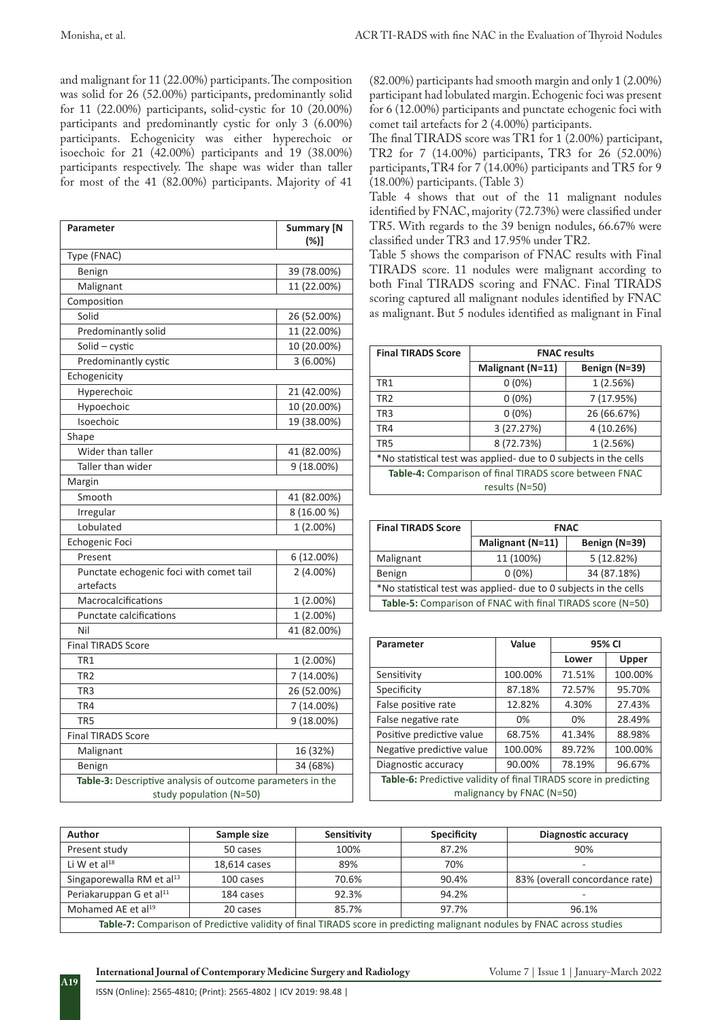and malignant for 11 (22.00%) participants. The composition was solid for 26 (52.00%) participants, predominantly solid for 11 (22.00%) participants, solid-cystic for 10 (20.00%) participants and predominantly cystic for only 3 (6.00%) participants. Echogenicity was either hyperechoic or isoechoic for 21 (42.00%) participants and 19 (38.00%) participants respectively. The shape was wider than taller for most of the 41 (82.00%) participants. Majority of 41

| Parameter                                                                             | <b>Summary [N</b><br>$(\%)]$ |  |  |
|---------------------------------------------------------------------------------------|------------------------------|--|--|
| Type (FNAC)                                                                           |                              |  |  |
| Benign                                                                                | 39 (78.00%)                  |  |  |
| Malignant                                                                             | 11 (22.00%)                  |  |  |
| Composition                                                                           |                              |  |  |
| Solid                                                                                 | 26 (52.00%)                  |  |  |
| Predominantly solid                                                                   | 11 (22.00%)                  |  |  |
| Solid - cystic                                                                        | 10 (20.00%)                  |  |  |
| Predominantly cystic                                                                  | $3(6.00\%)$                  |  |  |
| Echogenicity                                                                          |                              |  |  |
| Hyperechoic                                                                           | 21 (42.00%)                  |  |  |
| Hypoechoic                                                                            | 10 (20.00%)                  |  |  |
| Isoechoic                                                                             | 19 (38.00%)                  |  |  |
| Shape                                                                                 |                              |  |  |
| Wider than taller                                                                     | 41 (82.00%)                  |  |  |
| Taller than wider                                                                     | 9 (18.00%)                   |  |  |
| Margin                                                                                |                              |  |  |
| Smooth                                                                                | 41 (82.00%)                  |  |  |
| Irregular                                                                             | 8 (16.00 %)                  |  |  |
| Lobulated                                                                             | 1 (2.00%)                    |  |  |
| Echogenic Foci                                                                        |                              |  |  |
| Present                                                                               | 6 (12.00%)                   |  |  |
| Punctate echogenic foci with comet tail<br>artefacts                                  | $2(4.00\%)$                  |  |  |
| Macrocalcifications                                                                   | 1 (2.00%)                    |  |  |
| Punctate calcifications                                                               | 1 (2.00%)                    |  |  |
| Nil                                                                                   | 41 (82.00%)                  |  |  |
| <b>Final TIRADS Score</b>                                                             |                              |  |  |
| TR <sub>1</sub>                                                                       | 1 (2.00%)                    |  |  |
| TR <sub>2</sub>                                                                       | 7 (14.00%)                   |  |  |
| TR3                                                                                   | 26 (52.00%)                  |  |  |
| TR4                                                                                   | 7 (14.00%)                   |  |  |
| TR <sub>5</sub>                                                                       | 9 (18.00%)                   |  |  |
| <b>Final TIRADS Score</b>                                                             |                              |  |  |
| Malignant                                                                             | 16 (32%)                     |  |  |
| Benign                                                                                | 34 (68%)                     |  |  |
| Table-3: Descriptive analysis of outcome parameters in the<br>study population (N=50) |                              |  |  |

(82.00%) participants had smooth margin and only 1 (2.00%) participant had lobulated margin. Echogenic foci was present for 6 (12.00%) participants and punctate echogenic foci with comet tail artefacts for 2 (4.00%) participants.

The final TIRADS score was TR1 for 1 (2.00%) participant, TR2 for 7 (14.00%) participants, TR3 for 26 (52.00%) participants, TR4 for 7 (14.00%) participants and TR5 for 9 (18.00%) participants. (Table 3)

Table 4 shows that out of the 11 malignant nodules identified by FNAC, majority (72.73%) were classified under TR5. With regards to the 39 benign nodules, 66.67% were classified under TR3 and 17.95% under TR2.

Table 5 shows the comparison of FNAC results with Final TIRADS score. 11 nodules were malignant according to both Final TIRADS scoring and FNAC. Final TIRADS scoring captured all malignant nodules identified by FNAC as malignant. But 5 nodules identified as malignant in Final

| <b>Final TIRADS Score</b>                                        | <b>FNAC results</b> |               |  |
|------------------------------------------------------------------|---------------------|---------------|--|
|                                                                  | Malignant (N=11)    | Benign (N=39) |  |
| TR <sub>1</sub>                                                  | $0(0\%)$            | 1(2.56%)      |  |
| TR <sub>2</sub>                                                  | $0(0\%)$            | 7 (17.95%)    |  |
| TR <sub>3</sub>                                                  | $0(0\%)$            | 26 (66.67%)   |  |
| TR4                                                              | 3(27.27%)           | 4 (10.26%)    |  |
| TR <sub>5</sub>                                                  | 8 (72.73%)          | 1(2.56%)      |  |
| *No statistical test was applied- due to 0 subjects in the cells |                     |               |  |
| Table-4: Comparison of final TIRADS score between FNAC           |                     |               |  |
| results (N=50)                                                   |                     |               |  |

| <b>Final TIRADS Score</b>                                        | <b>FNAC</b>      |               |  |
|------------------------------------------------------------------|------------------|---------------|--|
|                                                                  | Malignant (N=11) | Benign (N=39) |  |
| Malignant                                                        | 11 (100%)        | 5(12.82%)     |  |
| Benign                                                           | $0(0\%)$         | 34 (87.18%)   |  |
| *No statistical test was applied- due to 0 subjects in the cells |                  |               |  |
| Table-5: Comparison of FNAC with final TIRADS score (N=50)       |                  |               |  |

| Parameter                                                        | Value                        | 95% CI |              |  |
|------------------------------------------------------------------|------------------------------|--------|--------------|--|
|                                                                  |                              | Lower  | <b>Upper</b> |  |
| Sensitivity                                                      | 100.00%                      | 71.51% | 100.00%      |  |
| Specificity                                                      | 87.18%                       | 72.57% | 95.70%       |  |
| False positive rate                                              | 12.82%                       | 4.30%  | 27.43%       |  |
| False negative rate                                              | 0%                           | 0%     | 28.49%       |  |
| Positive predictive value                                        | 68.75%                       | 41.34% | 88.98%       |  |
| Negative predictive value                                        | 100.00%<br>100.00%<br>89.72% |        |              |  |
| Diagnostic accuracy                                              | 90.00%                       | 78.19% | 96.67%       |  |
| Table-6: Predictive validity of final TIRADS score in predicting |                              |        |              |  |
| malignancy by FNAC (N=50)                                        |                              |        |              |  |

| Author                                                                                                                  | Sample size  | Sensitivity | <b>Specificity</b> | Diagnostic accuracy            |
|-------------------------------------------------------------------------------------------------------------------------|--------------|-------------|--------------------|--------------------------------|
| Present study                                                                                                           | 50 cases     | 100%        | 87.2%              | 90%                            |
| Li W et $al^{18}$                                                                                                       | 18.614 cases | 89%         | 70%                |                                |
| Singaporewalla RM et al <sup>13</sup>                                                                                   | 100 cases    | 70.6%       | 90.4%              | 83% (overall concordance rate) |
| Periakaruppan G et al <sup>11</sup>                                                                                     | 184 cases    | 92.3%       | 94.2%              | -                              |
| Mohamed AE et al <sup>19</sup>                                                                                          | 20 cases     | 85.7%       | 97.7%              | 96.1%                          |
| Table-7: Comparison of Predictive validity of final TIRADS score in predicting malignant nodules by FNAC across studies |              |             |                    |                                |

**International Journal of Contemporary Medicine Surgery and Radiology** Volume 7 | Issue 1 | January-March 2022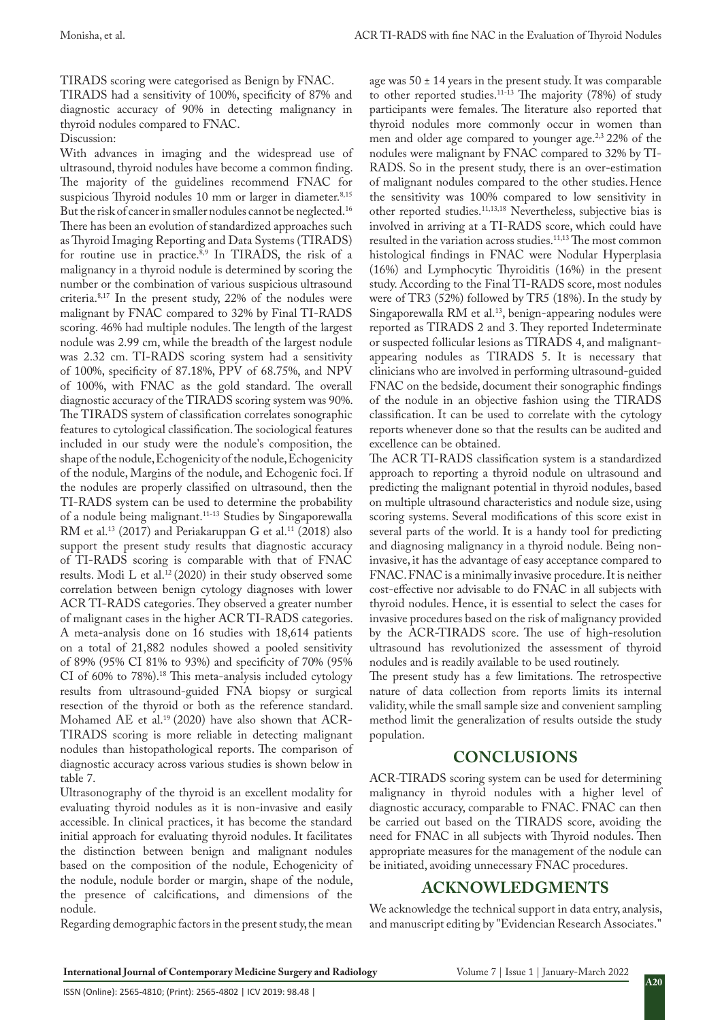TIRADS scoring were categorised as Benign by FNAC.

TIRADS had a sensitivity of 100%, specificity of 87% and diagnostic accuracy of 90% in detecting malignancy in thyroid nodules compared to FNAC.

Discussion:

With advances in imaging and the widespread use of ultrasound, thyroid nodules have become a common finding. The majority of the guidelines recommend FNAC for suspicious Thyroid nodules 10 mm or larger in diameter.<sup>8,15</sup> But the risk of cancer in smaller nodules cannot be neglected.<sup>16</sup> There has been an evolution of standardized approaches such as Thyroid Imaging Reporting and Data Systems (TIRADS) for routine use in practice.<sup>8,9</sup> In TIRADS, the risk of a malignancy in a thyroid nodule is determined by scoring the number or the combination of various suspicious ultrasound criteria.8,17 In the present study, 22% of the nodules were malignant by FNAC compared to 32% by Final TI-RADS scoring. 46% had multiple nodules. The length of the largest nodule was 2.99 cm, while the breadth of the largest nodule was 2.32 cm. TI-RADS scoring system had a sensitivity of 100%, specificity of 87.18%, PPV of 68.75%, and NPV of 100%, with FNAC as the gold standard. The overall diagnostic accuracy of the TIRADS scoring system was 90%. The TIRADS system of classification correlates sonographic features to cytological classification. The sociological features included in our study were the nodule's composition, the shape of the nodule, Echogenicity of the nodule, Echogenicity of the nodule, Margins of the nodule, and Echogenic foci. If the nodules are properly classified on ultrasound, then the TI-RADS system can be used to determine the probability of a nodule being malignant.11-13 Studies by Singaporewalla RM et al.<sup>13</sup> (2017) and Periakaruppan G et al.<sup>11</sup> (2018) also support the present study results that diagnostic accuracy of TI-RADS scoring is comparable with that of FNAC results. Modi L et al.<sup>12</sup> (2020) in their study observed some correlation between benign cytology diagnoses with lower ACR TI-RADS categories. They observed a greater number of malignant cases in the higher ACR TI-RADS categories. A meta-analysis done on 16 studies with 18,614 patients on a total of 21,882 nodules showed a pooled sensitivity of 89% (95% CI 81% to 93%) and specificity of 70% (95% CI of 60% to 78%).18 This meta-analysis included cytology results from ultrasound-guided FNA biopsy or surgical resection of the thyroid or both as the reference standard. Mohamed AE et al.19 (2020) have also shown that ACR-TIRADS scoring is more reliable in detecting malignant nodules than histopathological reports. The comparison of diagnostic accuracy across various studies is shown below in table 7.

Ultrasonography of the thyroid is an excellent modality for evaluating thyroid nodules as it is non-invasive and easily accessible. In clinical practices, it has become the standard initial approach for evaluating thyroid nodules. It facilitates the distinction between benign and malignant nodules based on the composition of the nodule, Echogenicity of the nodule, nodule border or margin, shape of the nodule, the presence of calcifications, and dimensions of the nodule.

Regarding demographic factors in the present study, the mean

ISSN (Online): 2565-4810; (Print): 2565-4802 | ICV 2019: 98.48 |

age was  $50 \pm 14$  years in the present study. It was comparable to other reported studies.<sup>11-13</sup> The majority (78%) of study participants were females. The literature also reported that thyroid nodules more commonly occur in women than men and older age compared to younger age.<sup>2,3</sup> 22% of the nodules were malignant by FNAC compared to 32% by TI-RADS. So in the present study, there is an over-estimation of malignant nodules compared to the other studies.Hence the sensitivity was 100% compared to low sensitivity in other reported studies.11,13,18 Nevertheless, subjective bias is involved in arriving at a TI-RADS score, which could have resulted in the variation across studies.<sup>11,13</sup> The most common histological findings in FNAC were Nodular Hyperplasia (16%) and Lymphocytic Thyroiditis (16%) in the present study. According to the Final TI-RADS score, most nodules were of TR3 (52%) followed by TR5 (18%). In the study by Singaporewalla RM et al.<sup>13</sup>, benign-appearing nodules were reported as TIRADS 2 and 3. They reported Indeterminate or suspected follicular lesions as TIRADS 4, and malignantappearing nodules as TIRADS 5. It is necessary that clinicians who are involved in performing ultrasound-guided FNAC on the bedside, document their sonographic findings of the nodule in an objective fashion using the TIRADS classification. It can be used to correlate with the cytology reports whenever done so that the results can be audited and excellence can be obtained.

The ACR TI-RADS classification system is a standardized approach to reporting a thyroid nodule on ultrasound and predicting the malignant potential in thyroid nodules, based on multiple ultrasound characteristics and nodule size, using scoring systems. Several modifications of this score exist in several parts of the world. It is a handy tool for predicting and diagnosing malignancy in a thyroid nodule. Being noninvasive, it has the advantage of easy acceptance compared to FNAC. FNAC is a minimally invasive procedure. It is neither cost-effective nor advisable to do FNAC in all subjects with thyroid nodules. Hence, it is essential to select the cases for invasive procedures based on the risk of malignancy provided by the ACR-TIRADS score. The use of high-resolution ultrasound has revolutionized the assessment of thyroid nodules and is readily available to be used routinely.

The present study has a few limitations. The retrospective nature of data collection from reports limits its internal validity, while the small sample size and convenient sampling method limit the generalization of results outside the study population.

## **CONCLUSIONS**

ACR-TIRADS scoring system can be used for determining malignancy in thyroid nodules with a higher level of diagnostic accuracy, comparable to FNAC. FNAC can then be carried out based on the TIRADS score, avoiding the need for FNAC in all subjects with Thyroid nodules. Then appropriate measures for the management of the nodule can be initiated, avoiding unnecessary FNAC procedures.

## **ACKNOWLEDGMENTS**

We acknowledge the technical support in data entry, analysis, and manuscript editing by "Evidencian Research Associates."